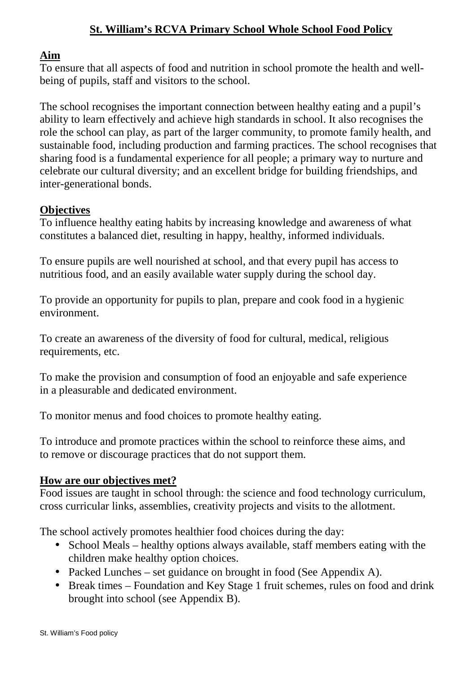# **St. William's RCVA Primary School Whole School Food Policy**

## **Aim**

To ensure that all aspects of food and nutrition in school promote the health and wellbeing of pupils, staff and visitors to the school.

The school recognises the important connection between healthy eating and a pupil's ability to learn effectively and achieve high standards in school. It also recognises the role the school can play, as part of the larger community, to promote family health, and sustainable food, including production and farming practices. The school recognises that sharing food is a fundamental experience for all people; a primary way to nurture and celebrate our cultural diversity; and an excellent bridge for building friendships, and inter-generational bonds.

### **Objectives**

To influence healthy eating habits by increasing knowledge and awareness of what constitutes a balanced diet, resulting in happy, healthy, informed individuals.

To ensure pupils are well nourished at school, and that every pupil has access to nutritious food, and an easily available water supply during the school day.

To provide an opportunity for pupils to plan, prepare and cook food in a hygienic environment.

To create an awareness of the diversity of food for cultural, medical, religious requirements, etc.

To make the provision and consumption of food an enjoyable and safe experience in a pleasurable and dedicated environment.

To monitor menus and food choices to promote healthy eating.

To introduce and promote practices within the school to reinforce these aims, and to remove or discourage practices that do not support them.

### **How are our objectives met?**

Food issues are taught in school through: the science and food technology curriculum, cross curricular links, assemblies, creativity projects and visits to the allotment.

The school actively promotes healthier food choices during the day:

- School Meals healthy options always available, staff members eating with the children make healthy option choices.
- Packed Lunches set guidance on brought in food (See Appendix A).
- Break times Foundation and Key Stage 1 fruit schemes, rules on food and drink brought into school (see Appendix B).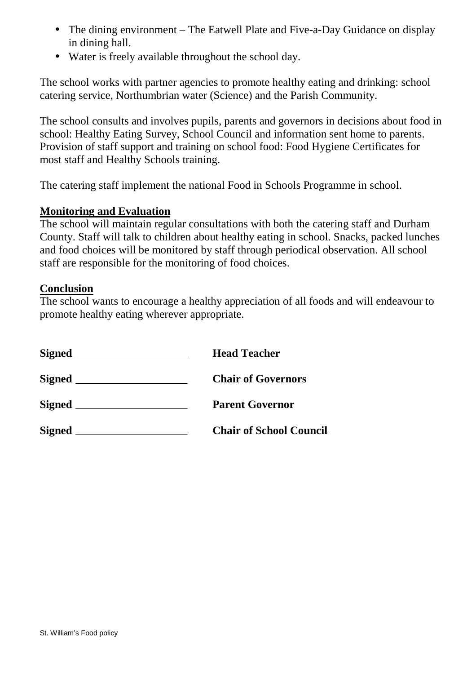- The dining environment The Eatwell Plate and Five-a-Day Guidance on display in dining hall.
- Water is freely available throughout the school day.

The school works with partner agencies to promote healthy eating and drinking: school catering service, Northumbrian water (Science) and the Parish Community.

The school consults and involves pupils, parents and governors in decisions about food in school: Healthy Eating Survey, School Council and information sent home to parents. Provision of staff support and training on school food: Food Hygiene Certificates for most staff and Healthy Schools training.

The catering staff implement the national Food in Schools Programme in school.

## **Monitoring and Evaluation**

The school will maintain regular consultations with both the catering staff and Durham County. Staff will talk to children about healthy eating in school. Snacks, packed lunches and food choices will be monitored by staff through periodical observation. All school staff are responsible for the monitoring of food choices.

### **Conclusion**

The school wants to encourage a healthy appreciation of all foods and will endeavour to promote healthy eating wherever appropriate.

|               | <b>Head Teacher</b>            |
|---------------|--------------------------------|
|               | <b>Chair of Governors</b>      |
|               | <b>Parent Governor</b>         |
| $Signed \_\_$ | <b>Chair of School Council</b> |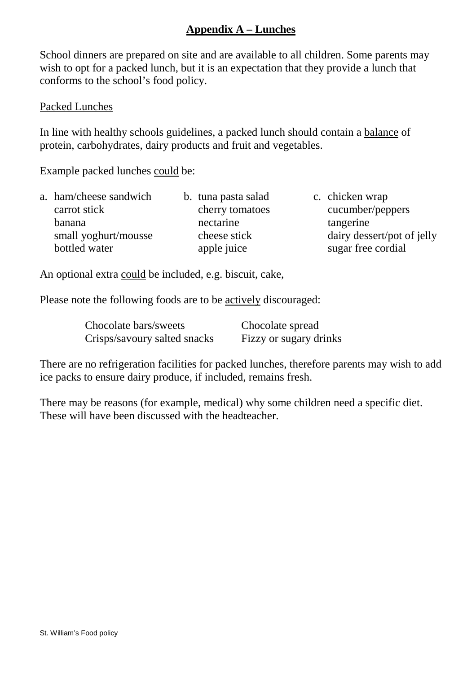# **Appendix A – Lunches**

School dinners are prepared on site and are available to all children. Some parents may wish to opt for a packed lunch, but it is an expectation that they provide a lunch that conforms to the school's food policy.

#### Packed Lunches

In line with healthy schools guidelines, a packed lunch should contain a balance of protein, carbohydrates, dairy products and fruit and vegetables.

Example packed lunches could be:

| a. ham/cheese sandwich | b. tuna pasta salad | c. chicken wrap            |
|------------------------|---------------------|----------------------------|
| carrot stick           | cherry tomatoes     | cucumber/peppers           |
| banana                 | nectarine           | tangerine                  |
| small yoghurt/mousse   | cheese stick        | dairy dessert/pot of jelly |
| bottled water          | apple juice         | sugar free cordial         |
|                        |                     |                            |

An optional extra could be included, e.g. biscuit, cake,

Please note the following foods are to be actively discouraged:

| Chocolate bars/sweets        | Chocolate spread       |
|------------------------------|------------------------|
| Crisps/savoury salted snacks | Fizzy or sugary drinks |

There are no refrigeration facilities for packed lunches, therefore parents may wish to add ice packs to ensure dairy produce, if included, remains fresh.

There may be reasons (for example, medical) why some children need a specific diet. These will have been discussed with the headteacher.